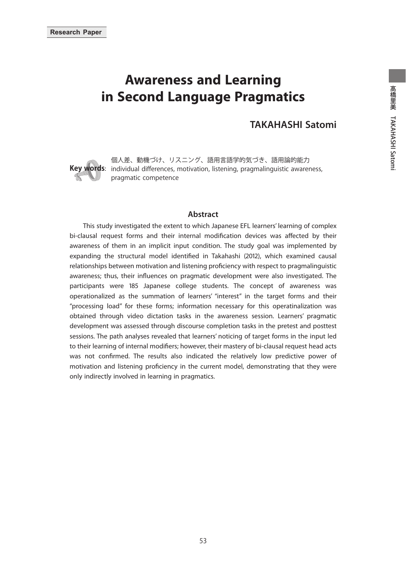# **Awareness and Learning in Second Language Pragmatics**

### **TAKAHASHI Satomi**



**Key words**: individual differences, motivation, listening, pragmalinguistic awareness, 個人差、動機づけ、リスニング、語用言語学的気づき、語用論的能力 pragmatic competence

#### **Abstract**

 This study investigated the extent to which Japanese EFL learners' learning of complex bi-clausal request forms and their internal modification devices was affected by their awareness of them in an implicit input condition. The study goal was implemented by expanding the structural model identified in Takahashi (2012), which examined causal relationships between motivation and listening proficiency with respect to pragmalinguistic awareness; thus, their influences on pragmatic development were also investigated. The participants were 185 Japanese college students. The concept of awareness was operationalized as the summation of learners' "interest" in the target forms and their "processing load" for these forms; information necessary for this operatinalization was obtained through video dictation tasks in the awareness session. Learners' pragmatic development was assessed through discourse completion tasks in the pretest and posttest sessions. The path analyses revealed that learners' noticing of target forms in the input led to their learning of internal modifiers; however, their mastery of bi-clausal request head acts was not confirmed. The results also indicated the relatively low predictive power of motivation and listening proficiency in the current model, demonstrating that they were only indirectly involved in learning in pragmatics.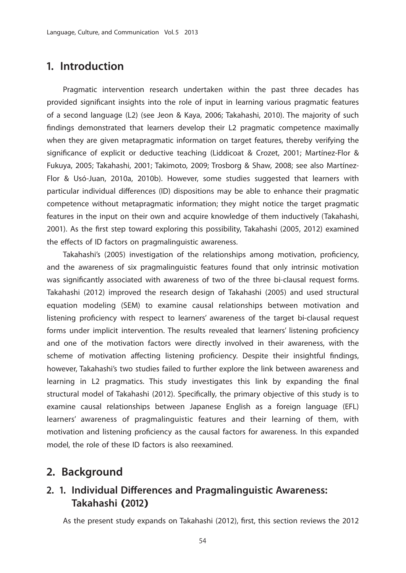## **1. Introduction**

 Pragmatic intervention research undertaken within the past three decades has provided significant insights into the role of input in learning various pragmatic features of a second language (L2) (see Jeon & Kaya, 2006; Takahashi, 2010). The majority of such findings demonstrated that learners develop their L2 pragmatic competence maximally when they are given metapragmatic information on target features, thereby verifying the significance of explicit or deductive teaching (Liddicoat & Crozet, 2001; Martínez-Flor & Fukuya, 2005; Takahashi, 2001; Takimoto, 2009; Trosborg & Shaw, 2008; see also Martínez-Flor & Usó-Juan, 2010a, 2010b). However, some studies suggested that learners with particular individual differences (ID) dispositions may be able to enhance their pragmatic competence without metapragmatic information; they might notice the target pragmatic features in the input on their own and acquire knowledge of them inductively (Takahashi, 2001). As the first step toward exploring this possibility, Takahashi (2005, 2012) examined the effects of ID factors on pragmalinguistic awareness.

Takahashi's (2005) investigation of the relationships among motivation, proficiency, and the awareness of six pragmalinguistic features found that only intrinsic motivation was significantly associated with awareness of two of the three bi-clausal request forms. Takahashi (2012) improved the research design of Takahashi (2005) and used structural equation modeling (SEM) to examine causal relationships between motivation and listening proficiency with respect to learners' awareness of the target bi-clausal request forms under implicit intervention. The results revealed that learners' listening proficiency and one of the motivation factors were directly involved in their awareness, with the scheme of motivation affecting listening proficiency. Despite their insightful findings, however, Takahashi's two studies failed to further explore the link between awareness and learning in L2 pragmatics. This study investigates this link by expanding the final structural model of Takahashi (2012). Specifically, the primary objective of this study is to examine causal relationships between Japanese English as a foreign language (EFL) learners' awareness of pragmalinguistic features and their learning of them, with motivation and listening proficiency as the causal factors for awareness. In this expanded model, the role of these ID factors is also reexamined.

## **2. Background**

### **2. 1. Individual Differences and Pragmalinguistic Awareness: Takahashi (2012)**

As the present study expands on Takahashi (2012), first, this section reviews the 2012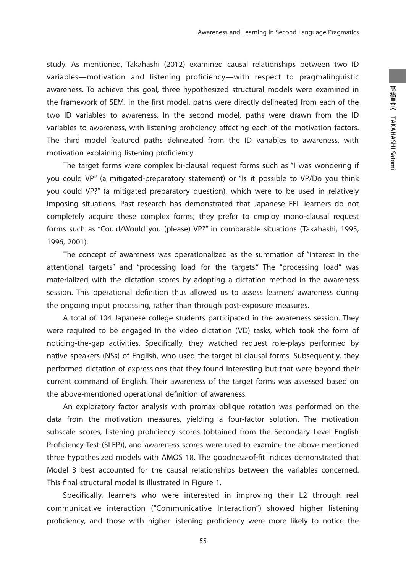study. As mentioned, Takahashi (2012) examined causal relationships between two ID variables—motivation and listening proficiency—with respect to pragmalinguistic awareness. To achieve this goal, three hypothesized structural models were examined in the framework of SEM. In the first model, paths were directly delineated from each of the two ID variables to awareness. In the second model, paths were drawn from the ID variables to awareness, with listening proficiency affecting each of the motivation factors. The third model featured paths delineated from the ID variables to awareness, with motivation explaining listening proficiency.

 The target forms were complex bi-clausal request forms such as "I was wondering if you could VP" (a mitigated-preparatory statement) or "Is it possible to VP/Do you think you could VP?" (a mitigated preparatory question), which were to be used in relatively imposing situations. Past research has demonstrated that Japanese EFL learners do not completely acquire these complex forms; they prefer to employ mono-clausal request forms such as "Could/Would you (please) VP?" in comparable situations (Takahashi, 1995, 1996, 2001).

 The concept of awareness was operationalized as the summation of "interest in the attentional targets" and "processing load for the targets." The "processing load" was materialized with the dictation scores by adopting a dictation method in the awareness session. This operational definition thus allowed us to assess learners' awareness during the ongoing input processing, rather than through post-exposure measures.

 A total of 104 Japanese college students participated in the awareness session. They were required to be engaged in the video dictation (VD) tasks, which took the form of noticing-the-gap activities. Specifically, they watched request role-plays performed by native speakers (NSs) of English, who used the target bi-clausal forms. Subsequently, they performed dictation of expressions that they found interesting but that were beyond their current command of English. Their awareness of the target forms was assessed based on the above-mentioned operational definition of awareness.

 An exploratory factor analysis with promax oblique rotation was performed on the data from the motivation measures, yielding a four-factor solution. The motivation subscale scores, listening proficiency scores (obtained from the Secondary Level English Proficiency Test (SLEP)), and awareness scores were used to examine the above-mentioned three hypothesized models with AMOS 18. The goodness-of-fi t indices demonstrated that Model 3 best accounted for the causal relationships between the variables concerned. This final structural model is illustrated in Figure 1.

 Specifically, learners who were interested in improving their L2 through real communicative interaction ("Communicative Interaction") showed higher listening proficiency, and those with higher listening proficiency were more likely to notice the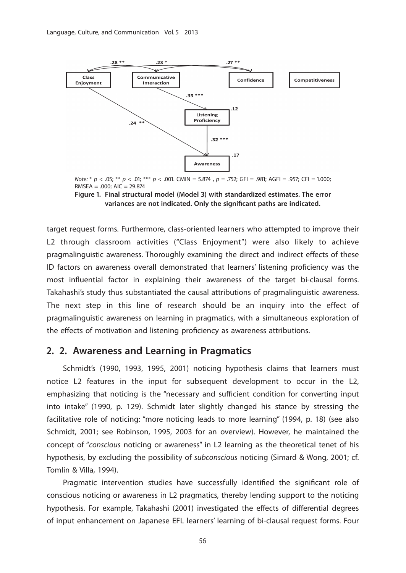

Note: \*  $p < .05$ ; \*\*  $p < .01$ ; \*\*\*  $p < .001$ . CMIN = 5.874 ,  $p = .752$ ; GFI = .981; AGFI = .957; CFI = 1.000;  $RMSEA = .000; AIC = 29.874$ 

**Figure 1. Final structural model (Model 3) with standardized estimates. The error**  variances are not indicated. Only the significant paths are indicated.

target request forms. Furthermore, class-oriented learners who attempted to improve their L2 through classroom activities ("Class Enjoyment") were also likely to achieve pragmalinguistic awareness. Thoroughly examining the direct and indirect effects of these ID factors on awareness overall demonstrated that learners' listening proficiency was the most influential factor in explaining their awareness of the target bi-clausal forms. Takahashi's study thus substantiated the causal attributions of pragmalinguistic awareness. The next step in this line of research should be an inquiry into the effect of pragmalinguistic awareness on learning in pragmatics, with a simultaneous exploration of the effects of motivation and listening proficiency as awareness attributions.

### **2. 2. Awareness and Learning in Pragmatics**

 Schmidt's (1990, 1993, 1995, 2001) noticing hypothesis claims that learners must notice L2 features in the input for subsequent development to occur in the L2, emphasizing that noticing is the "necessary and sufficient condition for converting input into intake" (1990, p. 129). Schmidt later slightly changed his stance by stressing the facilitative role of noticing: "more noticing leads to more learning" (1994, p. 18) (see also Schmidt, 2001; see Robinson, 1995, 2003 for an overview). However, he maintained the concept of "conscious noticing or awareness" in L2 learning as the theoretical tenet of his hypothesis, by excluding the possibility of subconscious noticing (Simard & Wong, 2001; cf. Tomlin & Villa, 1994).

Pragmatic intervention studies have successfully identified the significant role of conscious noticing or awareness in L2 pragmatics, thereby lending support to the noticing hypothesis. For example, Takahashi (2001) investigated the effects of differential degrees of input enhancement on Japanese EFL learners' learning of bi-clausal request forms. Four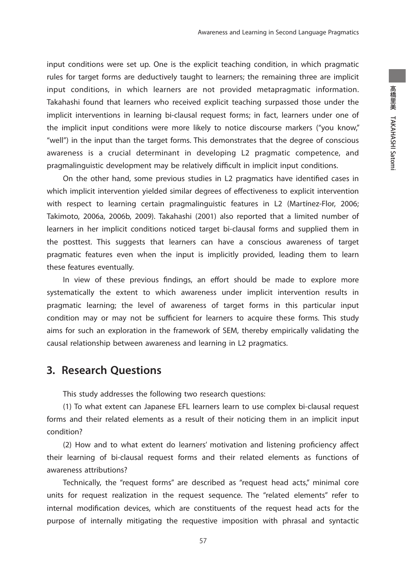input conditions were set up. One is the explicit teaching condition, in which pragmatic rules for target forms are deductively taught to learners; the remaining three are implicit input conditions, in which learners are not provided metapragmatic information. Takahashi found that learners who received explicit teaching surpassed those under the implicit interventions in learning bi-clausal request forms; in fact, learners under one of the implicit input conditions were more likely to notice discourse markers ("you know," "well") in the input than the target forms. This demonstrates that the degree of conscious awareness is a crucial determinant in developing L2 pragmatic competence, and pragmalinguistic development may be relatively difficult in implicit input conditions.

On the other hand, some previous studies in L2 pragmatics have identified cases in which implicit intervention yielded similar degrees of effectiveness to explicit intervention with respect to learning certain pragmalinguistic features in L2 (Martínez-Flor, 2006; Takimoto, 2006a, 2006b, 2009). Takahashi (2001) also reported that a limited number of learners in her implicit conditions noticed target bi-clausal forms and supplied them in the posttest. This suggests that learners can have a conscious awareness of target pragmatic features even when the input is implicitly provided, leading them to learn these features eventually.

In view of these previous findings, an effort should be made to explore more systematically the extent to which awareness under implicit intervention results in pragmatic learning; the level of awareness of target forms in this particular input condition may or may not be sufficient for learners to acquire these forms. This study aims for such an exploration in the framework of SEM, thereby empirically validating the causal relationship between awareness and learning in L2 pragmatics.

# **3. Research Questions**

This study addresses the following two research questions:

 (1) To what extent can Japanese EFL learners learn to use complex bi-clausal request forms and their related elements as a result of their noticing them in an implicit input condition?

 $(2)$  How and to what extent do learners' motivation and listening proficiency affect their learning of bi-clausal request forms and their related elements as functions of awareness attributions?

 Technically, the "request forms" are described as "request head acts," minimal core units for request realization in the request sequence. The "related elements" refer to internal modification devices, which are constituents of the request head acts for the purpose of internally mitigating the requestive imposition with phrasal and syntactic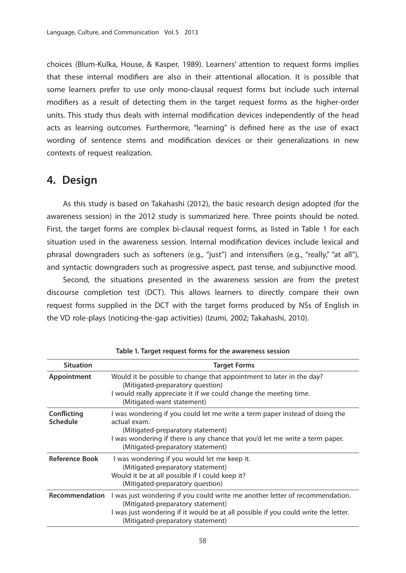choices (Blum-Kulka, House, & Kasper, 1989). Learners' attention to request forms implies that these internal modifiers are also in their attentional allocation. It is possible that some learners prefer to use only mono-clausal request forms but include such internal modifiers as a result of detecting them in the target request forms as the higher-order units. This study thus deals with internal modification devices independently of the head acts as learning outcomes. Furthermore, "learning" is defined here as the use of exact wording of sentence stems and modification devices or their generalizations in new contexts of request realization.

# **4. Design**

 As this study is based on Takahashi (2012), the basic research design adopted (for the awareness session) in the 2012 study is summarized here. Three points should be noted. First, the target forms are complex bi-clausal request forms, as listed in Table 1 for each situation used in the awareness session. Internal modification devices include lexical and phrasal downgraders such as softeners (e.g., "just") and intensifiers (e.g., "really," "at all"), and syntactic downgraders such as progressive aspect, past tense, and subjunctive mood.

 Second, the situations presented in the awareness session are from the pretest discourse completion test (DCT). This allows learners to directly compare their own request forms supplied in the DCT with the target forms produced by NSs of English in the VD role-plays (noticing-the-gap activities) (Izumi, 2002; Takahashi, 2010).

| <b>Situation</b>        | <b>Target Forms</b>                                                                                                                                                                                                                                   |
|-------------------------|-------------------------------------------------------------------------------------------------------------------------------------------------------------------------------------------------------------------------------------------------------|
| Appointment             | Would it be possible to change that appointment to later in the day?<br>(Mitigated-preparatory question)<br>I would really appreciate it if we could change the meeting time.<br>(Mitigated-want statement)                                           |
| Conflicting<br>Schedule | I was wondering if you could let me write a term paper instead of doing the<br>actual exam.<br>(Mitigated-preparatory statement)<br>I was wondering if there is any chance that you'd let me write a term paper.<br>(Mitigated-preparatory statement) |
| <b>Reference Book</b>   | I was wondering if you would let me keep it.<br>(Mitigated-preparatory statement)<br>Would it be at all possible if I could keep it?<br>(Mitigated-preparatory question)                                                                              |
| Recommendation          | I was just wondering if you could write me another letter of recommendation.<br>(Mitigated-preparatory statement)<br>I was just wondering if it would be at all possible if you could write the letter.<br>(Mitigated-preparatory statement)          |

**Table 1. Target request forms for the awareness session**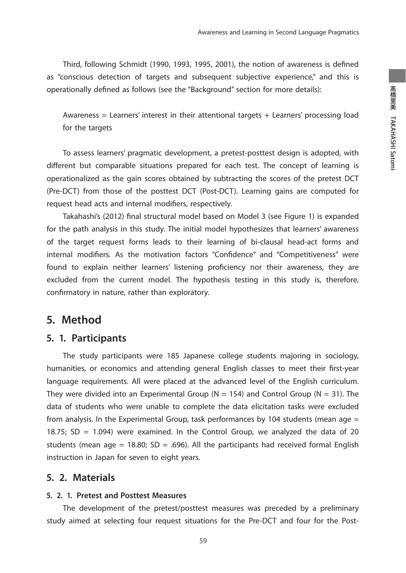Third, following Schmidt (1990, 1993, 1995, 2001), the notion of awareness is defined as "conscious detection of targets and subsequent subjective experience," and this is operationally defined as follows (see the "Background" section for more details):

Awareness = Learners' interest in their attentional targets + Learners' processing load for the targets

 To assess learners' pragmatic development, a pretest-posttest design is adopted, with different but comparable situations prepared for each test. The concept of learning is operationalized as the gain scores obtained by subtracting the scores of the pretest DCT (Pre-DCT) from those of the posttest DCT (Post-DCT). Learning gains are computed for request head acts and internal modifiers, respectively.

Takahashi's (2012) final structural model based on Model 3 (see Figure 1) is expanded for the path analysis in this study. The initial model hypothesizes that learners' awareness of the target request forms leads to their learning of bi-clausal head-act forms and internal modifiers. As the motivation factors "Confidence" and "Competitiveness" were found to explain neither learners' listening proficiency nor their awareness, they are excluded from the current model. The hypothesis testing in this study is, therefore, confirmatory in nature, rather than exploratory.

## **5. Method**

### **5. 1. Participants**

 The study participants were 185 Japanese college students majoring in sociology, humanities, or economics and attending general English classes to meet their first-year language requirements. All were placed at the advanced level of the English curriculum. They were divided into an Experimental Group (N = 154) and Control Group (N = 31). The data of students who were unable to complete the data elicitation tasks were excluded from analysis. In the Experimental Group, task performances by 104 students (mean age  $=$ 18.75;  $SD = 1.094$ ) were examined. In the Control Group, we analyzed the data of 20 students (mean age = 18.80; SD = .696). All the participants had received formal English instruction in Japan for seven to eight years.

### **5. 2. Materials**

#### **5. 2. 1. Pretest and Posttest Measures**

 The development of the pretest/posttest measures was preceded by a preliminary study aimed at selecting four request situations for the Pre-DCT and four for the Post-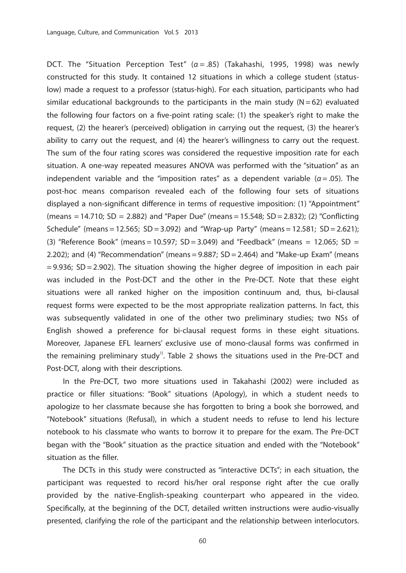DCT. The "Situation Perception Test"  $(a = .85)$  (Takahashi, 1995, 1998) was newly constructed for this study. It contained 12 situations in which a college student (statuslow) made a request to a professor (status-high). For each situation, participants who had similar educational backgrounds to the participants in the main study  $(N = 62)$  evaluated the following four factors on a five-point rating scale: (1) the speaker's right to make the request, (2) the hearer's (perceived) obligation in carrying out the request, (3) the hearer's ability to carry out the request, and (4) the hearer's willingness to carry out the request. The sum of the four rating scores was considered the requestive imposition rate for each situation. A one-way repeated measures ANOVA was performed with the "situation" as an independent variable and the "imposition rates" as a dependent variable ( $\alpha = .05$ ). The post-hoc means comparison revealed each of the following four sets of situations displayed a non-significant difference in terms of requestive imposition: (1) "Appointment" (means = 14.710; SD = 2.882) and "Paper Due" (means = 15.548; SD = 2.832); (2) "Conflicting Schedule" (means = 12.565; SD = 3.092) and "Wrap-up Party" (means = 12.581; SD = 2.621); (3) "Reference Book" (means = 10.597; SD = 3.049) and "Feedback" (means = 12.065; SD = 2.202); and (4) "Recommendation" (means  $=$  9.887; SD  $=$  2.464) and "Make-up Exam" (means  $= 9.936$ ; SD = 2.902). The situation showing the higher degree of imposition in each pair was included in the Post-DCT and the other in the Pre-DCT. Note that these eight situations were all ranked higher on the imposition continuum and, thus, bi-clausal request forms were expected to be the most appropriate realization patterns. In fact, this was subsequently validated in one of the other two preliminary studies; two NSs of English showed a preference for bi-clausal request forms in these eight situations. Moreover, Japanese EFL learners' exclusive use of mono-clausal forms was confirmed in the remaining preliminary study<sup>1)</sup>. Table 2 shows the situations used in the Pre-DCT and Post-DCT, along with their descriptions.

 In the Pre-DCT, two more situations used in Takahashi (2002) were included as practice or filler situations: "Book" situations (Apology), in which a student needs to apologize to her classmate because she has forgotten to bring a book she borrowed, and "Notebook" situations (Refusal), in which a student needs to refuse to lend his lecture notebook to his classmate who wants to borrow it to prepare for the exam. The Pre-DCT began with the "Book" situation as the practice situation and ended with the "Notebook" situation as the filler.

 The DCTs in this study were constructed as "interactive DCTs"; in each situation, the participant was requested to record his/her oral response right after the cue orally provided by the native-English-speaking counterpart who appeared in the video. Specifically, at the beginning of the DCT, detailed written instructions were audio-visually presented, clarifying the role of the participant and the relationship between interlocutors.

60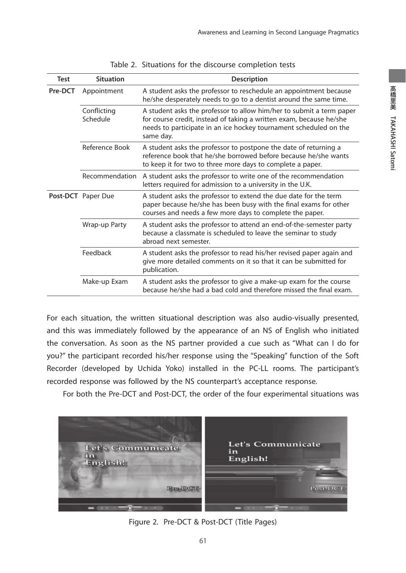| <b>Test</b> | <b>Situation</b>        | <b>Description</b>                                                                                                                                                                                                            |
|-------------|-------------------------|-------------------------------------------------------------------------------------------------------------------------------------------------------------------------------------------------------------------------------|
| Pre-DCT     | Appointment             | A student asks the professor to reschedule an appointment because<br>he/she desperately needs to go to a dentist around the same time.                                                                                        |
|             | Conflicting<br>Schedule | A student asks the professor to allow him/her to submit a term paper<br>for course credit, instead of taking a written exam, because he/she<br>needs to participate in an ice hockey tournament scheduled on the<br>same day. |
|             | Reference Book          | A student asks the professor to postpone the date of returning a<br>reference book that he/she borrowed before because he/she wants<br>to keep it for two to three more days to complete a paper.                             |
|             | Recommendation          | A student asks the professor to write one of the recommendation<br>letters required for admission to a university in the U.K.                                                                                                 |
|             | Post-DCT Paper Due      | A student asks the professor to extend the due date for the term<br>paper because he/she has been busy with the final exams for other<br>courses and needs a few more days to complete the paper.                             |
|             | Wrap-up Party           | A student asks the professor to attend an end-of-the-semester party<br>because a classmate is scheduled to leave the seminar to study<br>abroad next semester.                                                                |
|             | Feedback                | A student asks the professor to read his/her revised paper again and<br>give more detailed comments on it so that it can be submitted for<br>publication.                                                                     |
|             | Make-up Exam            | A student asks the professor to give a make-up exam for the course<br>because he/she had a bad cold and therefore missed the final exam.                                                                                      |

|  |  | Table 2. Situations for the discourse completion tests |  |
|--|--|--------------------------------------------------------|--|
|  |  |                                                        |  |

For each situation, the written situational description was also audio-visually presented, and this was immediately followed by the appearance of an NS of English who initiated the conversation. As soon as the NS partner provided a cue such as "What can I do for you?" the participant recorded his/her response using the "Speaking" function of the Soft Recorder (developed by Uchida Yoko) installed in the PC-LL rooms. The participant's recorded response was followed by the NS counterpart's acceptance response.

For both the Pre-DCT and Post-DCT, the order of the four experimental situations was



Figure 2. Pre-DCT & Post-DCT (Title Pages)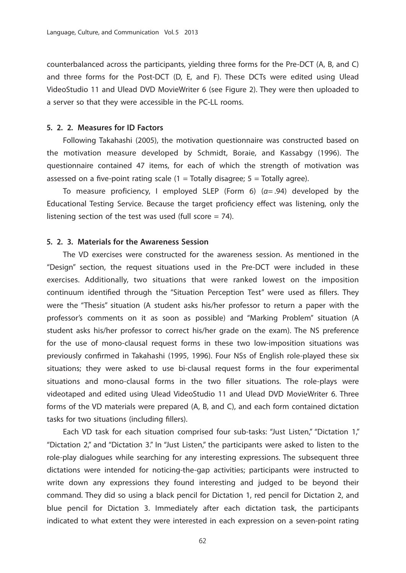counterbalanced across the participants, yielding three forms for the Pre-DCT (A, B, and C) and three forms for the Post-DCT (D, E, and F). These DCTs were edited using Ulead VideoStudio 11 and Ulead DVD MovieWriter 6 (see Figure 2). They were then uploaded to a server so that they were accessible in the PC-LL rooms.

#### **5. 2. 2. Measures for ID Factors**

 Following Takahashi (2005), the motivation questionnaire was constructed based on the motivation measure developed by Schmidt, Boraie, and Kassabgy (1996). The questionnaire contained 47 items, for each of which the strength of motivation was assessed on a five-point rating scale  $(1 = \text{Totally disagree}; 5 = \text{Totally agree}).$ 

To measure proficiency, I employed SLEP (Form 6)  $(a=0.94)$  developed by the Educational Testing Service. Because the target proficiency effect was listening, only the listening section of the test was used (full score  $= 74$ ).

#### **5. 2. 3. Materials for the Awareness Session**

 The VD exercises were constructed for the awareness session. As mentioned in the "Design" section, the request situations used in the Pre-DCT were included in these exercises. Additionally, two situations that were ranked lowest on the imposition continuum identified through the "Situation Perception Test" were used as fillers. They were the "Thesis" situation (A student asks his/her professor to return a paper with the professor's comments on it as soon as possible) and "Marking Problem" situation (A student asks his/her professor to correct his/her grade on the exam). The NS preference for the use of mono-clausal request forms in these two low-imposition situations was previously confirmed in Takahashi (1995, 1996). Four NSs of English role-played these six situations; they were asked to use bi-clausal request forms in the four experimental situations and mono-clausal forms in the two filler situations. The role-plays were videotaped and edited using Ulead VideoStudio 11 and Ulead DVD MovieWriter 6. Three forms of the VD materials were prepared (A, B, and C), and each form contained dictation tasks for two situations (including fillers).

 Each VD task for each situation comprised four sub-tasks: "Just Listen," "Dictation 1," "Dictation 2," and "Dictation 3." In "Just Listen," the participants were asked to listen to the role-play dialogues while searching for any interesting expressions. The subsequent three dictations were intended for noticing-the-gap activities; participants were instructed to write down any expressions they found interesting and judged to be beyond their command. They did so using a black pencil for Dictation 1, red pencil for Dictation 2, and blue pencil for Dictation 3. Immediately after each dictation task, the participants indicated to what extent they were interested in each expression on a seven-point rating

62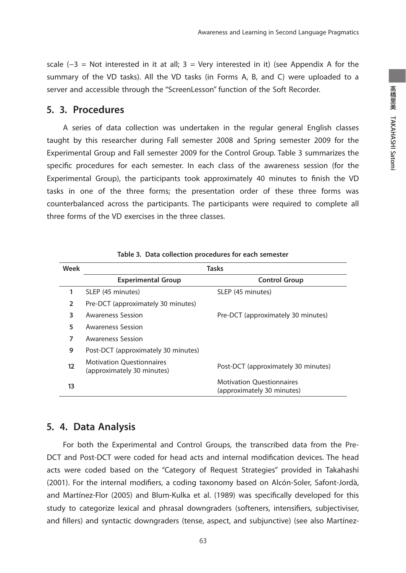scale  $(-3)$  = Not interested in it at all; 3 = Very interested in it) (see Appendix A for the summary of the VD tasks). All the VD tasks (in Forms A, B, and C) were uploaded to a server and accessible through the "ScreenLesson" function of the Soft Recorder.

### **5. 3. Procedures**

 A series of data collection was undertaken in the regular general English classes taught by this researcher during Fall semester 2008 and Spring semester 2009 for the Experimental Group and Fall semester 2009 for the Control Group. Table 3 summarizes the specific procedures for each semester. In each class of the awareness session (for the Experimental Group), the participants took approximately 40 minutes to finish the VD tasks in one of the three forms; the presentation order of these three forms was counterbalanced across the participants. The participants were required to complete all three forms of the VD exercises in the three classes.

| Week | <b>Tasks</b>                                                   |                                                                |  |
|------|----------------------------------------------------------------|----------------------------------------------------------------|--|
|      | <b>Experimental Group</b>                                      | <b>Control Group</b>                                           |  |
| 1    | SLEP (45 minutes)                                              | SLEP (45 minutes)                                              |  |
| 2    | Pre-DCT (approximately 30 minutes)                             |                                                                |  |
| 3    | <b>Awareness Session</b>                                       | Pre-DCT (approximately 30 minutes)                             |  |
| 5    | Awareness Session                                              |                                                                |  |
| 7    | <b>Awareness Session</b>                                       |                                                                |  |
| 9    | Post-DCT (approximately 30 minutes)                            |                                                                |  |
| 12   | <b>Motivation Questionnaires</b><br>(approximately 30 minutes) | Post-DCT (approximately 30 minutes)                            |  |
| 13   |                                                                | <b>Motivation Ouestionnaires</b><br>(approximately 30 minutes) |  |

**Table 3. Data collection procedures for each semester**

### **5. 4. Data Analysis**

 For both the Experimental and Control Groups, the transcribed data from the Pre-DCT and Post-DCT were coded for head acts and internal modification devices. The head acts were coded based on the "Category of Request Strategies" provided in Takahashi (2001). For the internal modifiers, a coding taxonomy based on Alcón-Soler, Safont-Jordà, and Martínez-Flor (2005) and Blum-Kulka et al. (1989) was specifically developed for this study to categorize lexical and phrasal downgraders (softeners, intensifiers, subjectiviser, and fillers) and syntactic downgraders (tense, aspect, and subjunctive) (see also Martínez-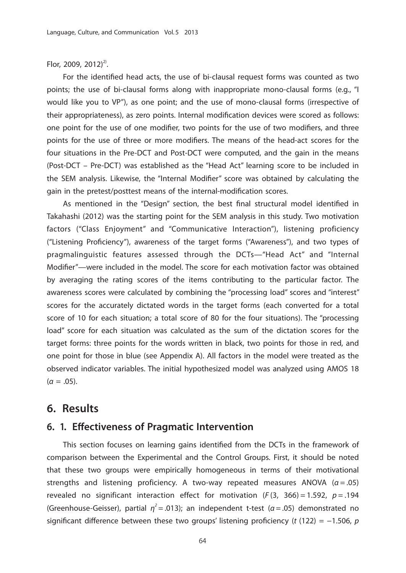### Flor, 2009, 2012)<sup>2)</sup>.

For the identified head acts, the use of bi-clausal request forms was counted as two points; the use of bi-clausal forms along with inappropriate mono-clausal forms (e.g., "I would like you to VP"), as one point; and the use of mono-clausal forms (irrespective of their appropriateness), as zero points. Internal modification devices were scored as follows: one point for the use of one modifier, two points for the use of two modifiers, and three points for the use of three or more modifiers. The means of the head-act scores for the four situations in the Pre-DCT and Post-DCT were computed, and the gain in the means (Post-DCT – Pre-DCT) was established as the "Head Act" learning score to be included in the SEM analysis. Likewise, the "Internal Modifier" score was obtained by calculating the gain in the pretest/posttest means of the internal-modification scores.

As mentioned in the "Design" section, the best final structural model identified in Takahashi (2012) was the starting point for the SEM analysis in this study. Two motivation factors ("Class Enjoyment" and "Communicative Interaction"), listening proficiency ("Listening Proficiency"), awareness of the target forms ("Awareness"), and two types of pragmalinguistic features assessed through the DCTs—"Head Act" and "Internal Modifier"—were included in the model. The score for each motivation factor was obtained by averaging the rating scores of the items contributing to the particular factor. The awareness scores were calculated by combining the "processing load" scores and "interest" scores for the accurately dictated words in the target forms (each converted for a total score of 10 for each situation; a total score of 80 for the four situations). The "processing load" score for each situation was calculated as the sum of the dictation scores for the target forms: three points for the words written in black, two points for those in red, and one point for those in blue (see Appendix A). All factors in the model were treated as the observed indicator variables. The initial hypothesized model was analyzed using AMOS 18  $(\alpha = .05)$ .

### **6. Results**

### **6. 1. Effectiveness of Pragmatic Intervention**

This section focuses on learning gains identified from the DCTs in the framework of comparison between the Experimental and the Control Groups. First, it should be noted that these two groups were empirically homogeneous in terms of their motivational strengths and listening proficiency. A two-way repeated measures ANOVA ( $\alpha$  = .05) revealed no significant interaction effect for motivation ( $F(3, 366) = 1.592$ ,  $p = .194$ ) (Greenhouse-Geisser), partial  $\eta^2$  = .013); an independent t-test ( $\alpha$  = .05) demonstrated no significant difference between these two groups' listening proficiency (t (122) = −1.506, p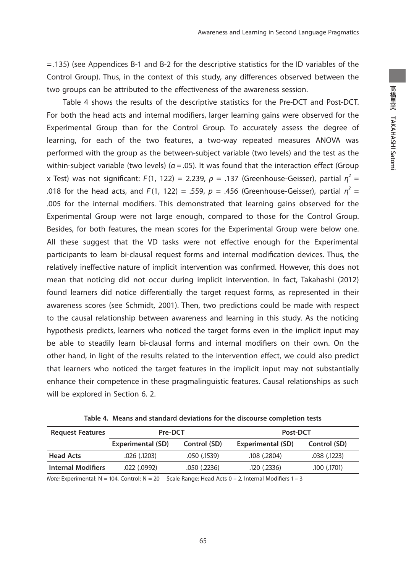= .135) (see Appendices B-1 and B-2 for the descriptive statistics for the ID variables of the Control Group). Thus, in the context of this study, any differences observed between the two groups can be attributed to the effectiveness of the awareness session.

 Table 4 shows the results of the descriptive statistics for the Pre-DCT and Post-DCT. For both the head acts and internal modifiers, larger learning gains were observed for the Experimental Group than for the Control Group. To accurately assess the degree of learning, for each of the two features, a two-way repeated measures ANOVA was performed with the group as the between-subject variable (two levels) and the test as the within-subject variable (two levels) ( $a = .05$ ). It was found that the interaction effect (Group x Test) was not significant: F(1, 122) = 2.239, p = .137 (Greenhouse-Geisser), partial  $\eta^2$  = .018 for the head acts, and  $F(1, 122) = .559$ ,  $p = .456$  (Greenhouse-Geisser), partial  $\eta^2 =$ .005 for the internal modifiers. This demonstrated that learning gains observed for the Experimental Group were not large enough, compared to those for the Control Group. Besides, for both features, the mean scores for the Experimental Group were below one. All these suggest that the VD tasks were not effective enough for the Experimental participants to learn bi-clausal request forms and internal modification devices. Thus, the relatively ineffective nature of implicit intervention was confirmed. However, this does not mean that noticing did not occur during implicit intervention. In fact, Takahashi (2012) found learners did notice differentially the target request forms, as represented in their awareness scores (see Schmidt, 2001). Then, two predictions could be made with respect to the causal relationship between awareness and learning in this study. As the noticing hypothesis predicts, learners who noticed the target forms even in the implicit input may be able to steadily learn bi-clausal forms and internal modifiers on their own. On the other hand, in light of the results related to the intervention effect, we could also predict that learners who noticed the target features in the implicit input may not substantially enhance their competence in these pragmalinguistic features. Causal relationships as such will be explored in Section 6. 2.

| <b>Request Features</b>   | Pre-DCT           |              |                   |              | Post-DCT |  |
|---------------------------|-------------------|--------------|-------------------|--------------|----------|--|
|                           | Experimental (SD) | Control (SD) | Experimental (SD) | Control (SD) |          |  |
| <b>Head Acts</b>          | $.026$ $(.1203)$  | .050 (.1539) | .108(.2804)       | .038(.1223)  |          |  |
| <b>Internal Modifiers</b> | $.022$ $(.0992)$  | .050(.2236)  | .120(.2336)       | .100(.1701)  |          |  |

|  |  |  |  |  |  | Table 4. Means and standard deviations for the discourse completion tests |
|--|--|--|--|--|--|---------------------------------------------------------------------------|
|--|--|--|--|--|--|---------------------------------------------------------------------------|

Note: Experimental: N = 104, Control: N = 20 Scale Range: Head Acts 0 - 2, Internal Modifiers 1 - 3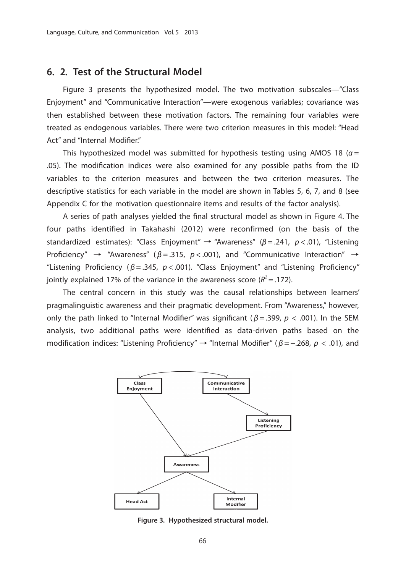### **6. 2. Test of the Structural Model**

 Figure 3 presents the hypothesized model. The two motivation subscales—"Class Enjoyment" and "Communicative Interaction"—were exogenous variables; covariance was then established between these motivation factors. The remaining four variables were treated as endogenous variables. There were two criterion measures in this model: "Head Act" and "Internal Modifier."

This hypothesized model was submitted for hypothesis testing using AMOS 18 ( $\alpha$  = .05). The modification indices were also examined for any possible paths from the ID variables to the criterion measures and between the two criterion measures. The descriptive statistics for each variable in the model are shown in Tables 5, 6, 7, and 8 (see Appendix C for the motivation questionnaire items and results of the factor analysis).

A series of path analyses yielded the final structural model as shown in Figure 4. The four paths identified in Takahashi (2012) were reconfirmed (on the basis of the standardized estimates): "Class Enjoyment"  $\rightarrow$  "Awareness" ( $\beta$  = .241, p < .01), "Listening Proficiency"  $\rightarrow$  "Awareness" ( $\beta = .315$ ,  $p < .001$ ), and "Communicative Interaction"  $\rightarrow$ "Listening Proficiency ( $\beta = 0.345$ ,  $p < 0.001$ ). "Class Enjoyment" and "Listening Proficiency" jointly explained 17% of the variance in the awareness score ( $R^2 = .172$ ).

 The central concern in this study was the causal relationships between learners' pragmalinguistic awareness and their pragmatic development. From "Awareness," however, only the path linked to "Internal Modifier" was significant ( $\beta$  = .399, p < .001). In the SEM analysis, two additional paths were identified as data-driven paths based on the modification indices: "Listening Proficiency"  $\rightarrow$  "Internal Modifier" ( $\beta$  = -.268, p < .01), and



**Figure 3. Hypothesized structural model.**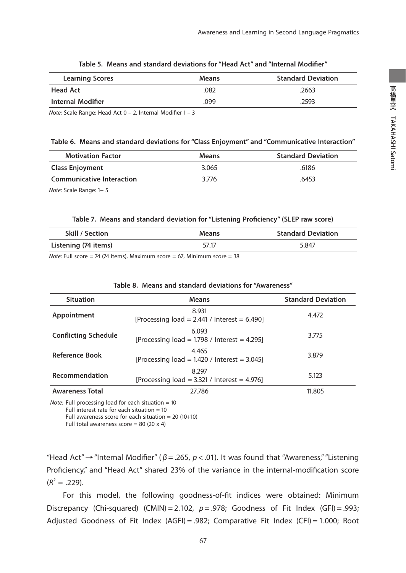| <b>Learning Scores</b> | <b>Means</b> | <b>Standard Deviation</b> |
|------------------------|--------------|---------------------------|
| <b>Head Act</b>        | .082         | .2663                     |
| Internal Modifier      | .099         | .2593                     |

#### Table 5. Means and standard deviations for "Head Act" and "Internal Modifier"

Note: Scale Range: Head Act  $0 - 2$ , Internal Modifier  $1 - 3$ 

#### **Table 6. Means and standard deviations for "Class Enjoyment" and "Communicative Interaction"**

| <b>Motivation Factor</b>         | <b>Means</b> | <b>Standard Deviation</b> |
|----------------------------------|--------------|---------------------------|
| <b>Class Enjoyment</b>           | 3.065        | .6186                     |
| <b>Communicative Interaction</b> | 3.776        | .6453                     |
| .                                |              |                           |

Note: Scale Range: 1− 5

#### Table 7. Means and standard deviation for "Listening Proficiency" (SLEP raw score)

| <b>Skill / Section</b> | <b>Means</b> | <b>Standard Deviation</b> |
|------------------------|--------------|---------------------------|
| Listening (74 items)   | 57.17        | 5.847                     |

Note: Full score = 74 (74 items), Maximum score = 67, Minimum score = 38

| <b>Situation</b>            | <b>Means</b>                                               | <b>Standard Deviation</b> |
|-----------------------------|------------------------------------------------------------|---------------------------|
| Appointment                 | 8.931<br>[Processing load = 2.441 / Interest = 6.490]      | 4.472                     |
| <b>Conflicting Schedule</b> | 6.093<br>[Processing load = $1.798$ / Interest = 4.295]    | 3.775                     |
| <b>Reference Book</b>       | 4.465<br>[Processing load = $1.420$ / Interest = $3.045$ ] | 3.879                     |
| Recommendation              | 8.297<br>[Processing load = $3.321$ / Interest = 4.976]    | 5.123                     |
| <b>Awareness Total</b>      | 27.786                                                     | 11.805                    |

### **Table 8. Means and standard deviations for "Awareness"**

Note: Full processing load for each situation  $= 10$ 

Full interest rate for each situation = 10

Full awareness score for each situation =  $20$  (10+10)

Full total awareness score =  $80$  (20 x 4)

"Head Act"  $\rightarrow$  "Internal Modifier" ( $\beta$  = .265,  $p$  < .01). It was found that "Awareness," "Listening Proficiency," and "Head Act" shared 23% of the variance in the internal-modification score  $(R<sup>2</sup> = .229).$ 

For this model, the following goodness-of-fit indices were obtained: Minimum Discrepancy (Chi-squared) (CMIN) =  $2.102$ ,  $p = .978$ ; Goodness of Fit Index (GFI) = .993; Adjusted Goodness of Fit Index (AGFI) = .982; Comparative Fit Index (CFI) = 1.000; Root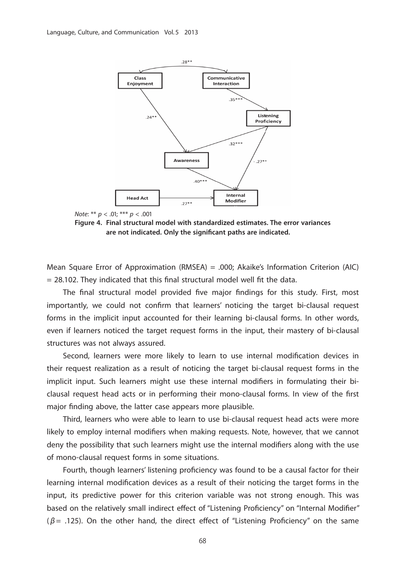



**Figure 4. Final structural model with standardized estimates. The error variances**  are not indicated. Only the significant paths are indicated.

Mean Square Error of Approximation (RMSEA) = .000; Akaike's Information Criterion (AIC)  $= 28.102$ . They indicated that this final structural model well fit the data.

The final structural model provided five major findings for this study. First, most importantly, we could not confirm that learners' noticing the target bi-clausal request forms in the implicit input accounted for their learning bi-clausal forms. In other words, even if learners noticed the target request forms in the input, their mastery of bi-clausal structures was not always assured.

Second, learners were more likely to learn to use internal modification devices in their request realization as a result of noticing the target bi-clausal request forms in the implicit input. Such learners might use these internal modifiers in formulating their biclausal request head acts or in performing their mono-clausal forms. In view of the first major finding above, the latter case appears more plausible.

 Third, learners who were able to learn to use bi-clausal request head acts were more likely to employ internal modifiers when making requests. Note, however, that we cannot deny the possibility that such learners might use the internal modifiers along with the use of mono-clausal request forms in some situations.

Fourth, though learners' listening proficiency was found to be a causal factor for their learning internal modification devices as a result of their noticing the target forms in the input, its predictive power for this criterion variable was not strong enough. This was based on the relatively small indirect effect of "Listening Proficiency" on "Internal Modifier" ( $\beta$  = .125). On the other hand, the direct effect of "Listening Proficiency" on the same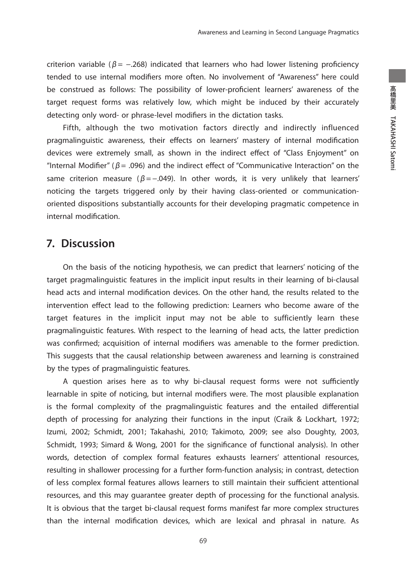criterion variable ( $\beta$  = -.268) indicated that learners who had lower listening proficiency tended to use internal modifiers more often. No involvement of "Awareness" here could be construed as follows: The possibility of lower-proficient learners' awareness of the target request forms was relatively low, which might be induced by their accurately detecting only word- or phrase-level modifiers in the dictation tasks.

 Fifth, although the two motivation factors directly and indirectly influenced pragmalinguistic awareness, their effects on learners' mastery of internal modification devices were extremely small, as shown in the indirect effect of "Class Enjoyment" on "Internal Modifier" ( $\beta$  = .096) and the indirect effect of "Communicative Interaction" on the same criterion measure ( $\beta = -.049$ ). In other words, it is very unlikely that learners' noticing the targets triggered only by their having class-oriented or communicationoriented dispositions substantially accounts for their developing pragmatic competence in internal modification.

## **7. Discussion**

 On the basis of the noticing hypothesis, we can predict that learners' noticing of the target pragmalinguistic features in the implicit input results in their learning of bi-clausal head acts and internal modification devices. On the other hand, the results related to the intervention effect lead to the following prediction: Learners who become aware of the target features in the implicit input may not be able to sufficiently learn these pragmalinguistic features. With respect to the learning of head acts, the latter prediction was confirmed; acquisition of internal modifiers was amenable to the former prediction. This suggests that the causal relationship between awareness and learning is constrained by the types of pragmalinguistic features.

A question arises here as to why bi-clausal request forms were not sufficiently learnable in spite of noticing, but internal modifiers were. The most plausible explanation is the formal complexity of the pragmalinguistic features and the entailed differential depth of processing for analyzing their functions in the input (Craik & Lockhart, 1972; Izumi, 2002; Schmidt, 2001; Takahashi, 2010; Takimoto, 2009; see also Doughty, 2003, Schmidt, 1993; Simard & Wong, 2001 for the significance of functional analysis). In other words, detection of complex formal features exhausts learners' attentional resources, resulting in shallower processing for a further form-function analysis; in contrast, detection of less complex formal features allows learners to still maintain their sufficient attentional resources, and this may guarantee greater depth of processing for the functional analysis. It is obvious that the target bi-clausal request forms manifest far more complex structures than the internal modification devices, which are lexical and phrasal in nature. As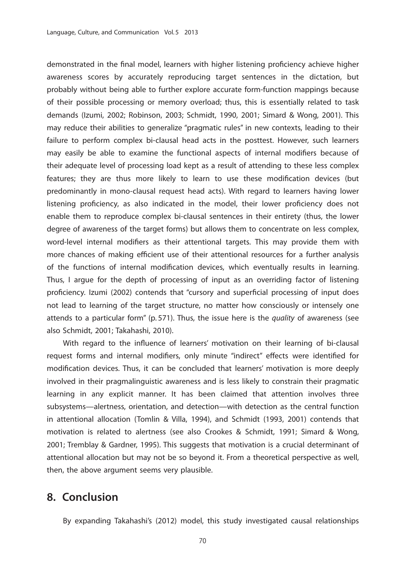demonstrated in the final model, learners with higher listening proficiency achieve higher awareness scores by accurately reproducing target sentences in the dictation, but probably without being able to further explore accurate form-function mappings because of their possible processing or memory overload; thus, this is essentially related to task demands (Izumi, 2002; Robinson, 2003; Schmidt, 1990, 2001; Simard & Wong, 2001). This may reduce their abilities to generalize "pragmatic rules" in new contexts, leading to their failure to perform complex bi-clausal head acts in the posttest. However, such learners may easily be able to examine the functional aspects of internal modifiers because of their adequate level of processing load kept as a result of attending to these less complex features; they are thus more likely to learn to use these modification devices (but predominantly in mono-clausal request head acts). With regard to learners having lower listening proficiency, as also indicated in the model, their lower proficiency does not enable them to reproduce complex bi-clausal sentences in their entirety (thus, the lower degree of awareness of the target forms) but allows them to concentrate on less complex, word-level internal modifiers as their attentional targets. This may provide them with more chances of making efficient use of their attentional resources for a further analysis of the functions of internal modification devices, which eventually results in learning. Thus, I argue for the depth of processing of input as an overriding factor of listening proficiency. Izumi (2002) contends that "cursory and superficial processing of input does not lead to learning of the target structure, no matter how consciously or intensely one attends to a particular form" (p. 571). Thus, the issue here is the quality of awareness (see also Schmidt, 2001; Takahashi, 2010).

With regard to the influence of learners' motivation on their learning of bi-clausal request forms and internal modifiers, only minute "indirect" effects were identified for modification devices. Thus, it can be concluded that learners' motivation is more deeply involved in their pragmalinguistic awareness and is less likely to constrain their pragmatic learning in any explicit manner. It has been claimed that attention involves three subsystems—alertness, orientation, and detection—with detection as the central function in attentional allocation (Tomlin & Villa, 1994), and Schmidt (1993, 2001) contends that motivation is related to alertness (see also Crookes & Schmidt, 1991; Simard & Wong, 2001; Tremblay & Gardner, 1995). This suggests that motivation is a crucial determinant of attentional allocation but may not be so beyond it. From a theoretical perspective as well, then, the above argument seems very plausible.

## **8. Conclusion**

By expanding Takahashi's (2012) model, this study investigated causal relationships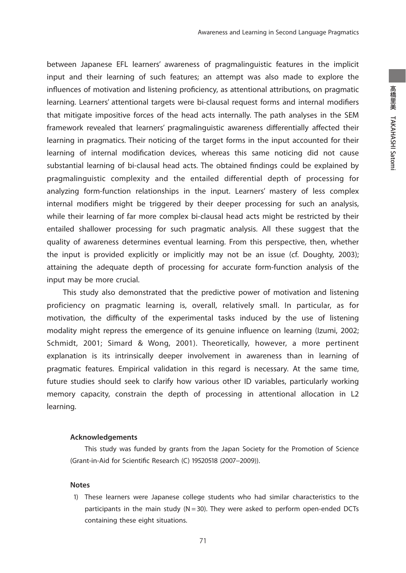between Japanese EFL learners' awareness of pragmalinguistic features in the implicit input and their learning of such features; an attempt was also made to explore the influences of motivation and listening proficiency, as attentional attributions, on pragmatic learning. Learners' attentional targets were bi-clausal request forms and internal modifiers that mitigate impositive forces of the head acts internally. The path analyses in the SEM framework revealed that learners' pragmalinguistic awareness differentially affected their learning in pragmatics. Their noticing of the target forms in the input accounted for their learning of internal modification devices, whereas this same noticing did not cause substantial learning of bi-clausal head acts. The obtained findings could be explained by pragmalinguistic complexity and the entailed differential depth of processing for analyzing form-function relationships in the input. Learners' mastery of less complex internal modifiers might be triggered by their deeper processing for such an analysis, while their learning of far more complex bi-clausal head acts might be restricted by their entailed shallower processing for such pragmatic analysis. All these suggest that the quality of awareness determines eventual learning. From this perspective, then, whether the input is provided explicitly or implicitly may not be an issue (cf. Doughty, 2003); attaining the adequate depth of processing for accurate form-function analysis of the input may be more crucial.

 This study also demonstrated that the predictive power of motivation and listening proficiency on pragmatic learning is, overall, relatively small. In particular, as for motivation, the difficulty of the experimental tasks induced by the use of listening modality might repress the emergence of its genuine influence on learning (Izumi, 2002; Schmidt, 2001; Simard & Wong, 2001). Theoretically, however, a more pertinent explanation is its intrinsically deeper involvement in awareness than in learning of pragmatic features. Empirical validation in this regard is necessary. At the same time, future studies should seek to clarify how various other ID variables, particularly working memory capacity, constrain the depth of processing in attentional allocation in L2 learning.

#### **Acknowledgements**

 This study was funded by grants from the Japan Society for the Promotion of Science (Grant-in-Aid for Scientific Research (C) 19520518 (2007-2009)).

#### **Notes**

 1) These learners were Japanese college students who had similar characteristics to the participants in the main study ( $N = 30$ ). They were asked to perform open-ended DCTs containing these eight situations.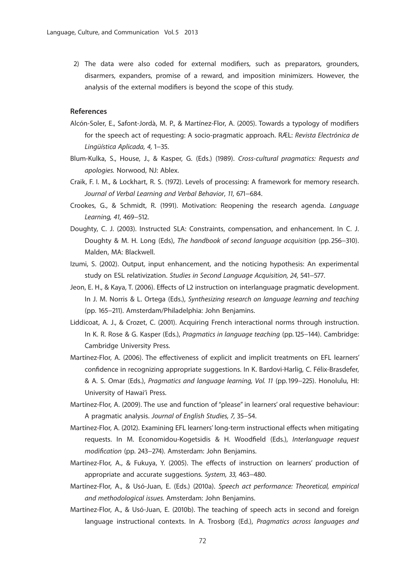2) The data were also coded for external modifiers, such as preparators, grounders, disarmers, expanders, promise of a reward, and imposition minimizers. However, the analysis of the external modifiers is beyond the scope of this study.

#### **References**

- Alcón-Soler, E., Safont-Jordà, M. P., & Martínez-Flor, A. (2005). Towards a typology of modifiers for the speech act of requesting: A socio-pragmatic approach. RÆL: Revista Electrónica de Lingüística Aplicada, 4, 1−35.
- Blum-Kulka, S., House, J., & Kasper, G. (Eds.) (1989). Cross-cultural pragmatics: Requests and apologies. Norwood, NJ: Ablex.
- Craik, F. I. M., & Lockhart, R. S. (1972). Levels of processing: A framework for memory research. Journal of Verbal Learning and Verbal Behavior, 11, 671−684.
- Crookes, G., & Schmidt, R. (1991). Motivation: Reopening the research agenda. Language Learning, 41, 469−512.
- Doughty, C. J. (2003). Instructed SLA: Constraints, compensation, and enhancement. In C. J. Doughty & M. H. Long (Eds), The handbook of second language acquisition (pp. 256−310). Malden, MA: Blackwell.
- Izumi, S. (2002). Output, input enhancement, and the noticing hypothesis: An experimental study on ESL relativization. Studies in Second Language Acquisition, 24, 541−577.
- Jeon, E. H., & Kaya, T. (2006). Effects of L2 instruction on interlanguage pragmatic development. In J. M. Norris & L. Ortega (Eds.), Synthesizing research on language learning and teaching (pp. 165−211). Amsterdam/Philadelphia: John Benjamins.
- Liddicoat, A. J., & Crozet, C. (2001). Acquiring French interactional norms through instruction. In K. R. Rose & G. Kasper (Eds.), Pragmatics in language teaching (pp. 125−144). Cambridge: Cambridge University Press.
- Martínez-Flor, A. (2006). The effectiveness of explicit and implicit treatments on EFL learners' confidence in recognizing appropriate suggestions. In K. Bardovi-Harlig, C. Félix-Brasdefer, & A. S. Omar (Eds.), Pragmatics and language learning, Vol. 11 (pp. 199−225). Honolulu, HI: University of Hawai'i Press.
- Martínez-Flor, A. (2009). The use and function of "please" in learners' oral requestive behaviour: A pragmatic analysis. Journal of English Studies, 7, 35−54.
- Martínez-Flor, A. (2012). Examining EFL learners' long-term instructional effects when mitigating requests. In M. Economidou-Kogetsidis & H. Woodfield (Eds.), Interlanguage request modification (pp. 243−274). Amsterdam: John Benjamins.
- Martínez-Flor, A., & Fukuya, Y. (2005). The effects of instruction on learners' production of appropriate and accurate suggestions. System, 33, 463−480.
- Martínez-Flor, A., & Usó-Juan, E. (Eds.) (2010a). Speech act performance: Theoretical, empirical and methodological issues. Amsterdam: John Benjamins.
- Martínez-Flor, A., & Usó-Juan, E. (2010b). The teaching of speech acts in second and foreign language instructional contexts. In A. Trosborg (Ed.), Pragmatics across languages and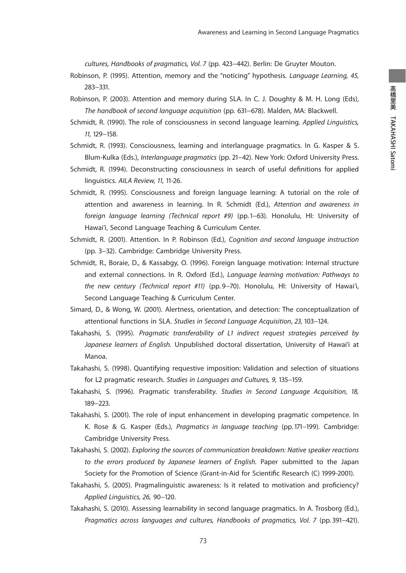cultures, Handbooks of pragmatics, Vol. 7 (pp. 423−442). Berlin: De Gruyter Mouton.

- Robinson, P. (1995). Attention, memory and the "noticing" hypothesis. Language Learning, 45, 283−331.
- Robinson, P. (2003). Attention and memory during SLA. In C. J. Doughty & M. H. Long (Eds), The handbook of second language acquisition (pp. 631−678). Malden, MA: Blackwell.
- Schmidt, R. (1990). The role of consciousness in second language learning. Applied Linguistics, 11, 129−158.
- Schmidt, R. (1993). Consciousness, learning and interlanguage pragmatics. In G. Kasper & S. Blum-Kulka (Eds.), Interlanguage pragmatics (pp. 21−42). New York: Oxford University Press.
- Schmidt, R. (1994). Deconstructing consciousness in search of useful definitions for applied linguistics. AILA Review, 11, 11-26.
- Schmidt, R. (1995). Consciousness and foreign language learning: A tutorial on the role of attention and awareness in learning. In R. Schmidt (Ed.), Attention and awareness in foreign language learning (Technical report #9) (pp. 1−63). Honolulu, HI: University of Hawai'i, Second Language Teaching & Curriculum Center.
- Schmidt, R. (2001). Attention. In P. Robinson (Ed.), Cognition and second language instruction (pp. 3−32). Cambridge: Cambridge University Press.
- Schmidt, R., Boraie, D., & Kassabgy, O. (1996). Foreign language motivation: Internal structure and external connections. In R. Oxford (Ed.), Language learning motivation: Pathways to the new century (Technical report #11) (pp. 9−70). Honolulu, HI: University of Hawai'i, Second Language Teaching & Curriculum Center.
- Simard, D., & Wong, W. (2001). Alertness, orientation, and detection: The conceptualization of attentional functions in SLA. Studies in Second Language Acquisition, 23, 103−124.
- Takahashi, S. (1995). Pragmatic transferability of L1 indirect request strategies perceived by Japanese learners of English. Unpublished doctoral dissertation, University of Hawai'i at Manoa.
- Takahashi, S. (1998). Quantifying requestive imposition: Validation and selection of situations for L2 pragmatic research. Studies in Languages and Cultures, 9, 135−159.
- Takahashi, S. (1996). Pragmatic transferability. Studies in Second Language Acquisition, 18, 189−223.
- Takahashi, S. (2001). The role of input enhancement in developing pragmatic competence. In K. Rose & G. Kasper (Eds.), Pragmatics in language teaching (pp. 171−199). Cambridge: Cambridge University Press.
- Takahashi, S. (2002). Exploring the sources of communication breakdown: Native speaker reactions to the errors produced by Japanese learners of English. Paper submitted to the Japan Society for the Promotion of Science (Grant-in-Aid for Scientific Research (C) 1999-2001).
- Takahashi, S. (2005). Pragmalinguistic awareness: Is it related to motivation and proficiency? Applied Linguistics, 26, 90−120.
- Takahashi, S. (2010). Assessing learnability in second language pragmatics. In A. Trosborg (Ed.), Pragmatics across languages and cultures, Handbooks of pragmatics, Vol. 7 (pp. 391–421).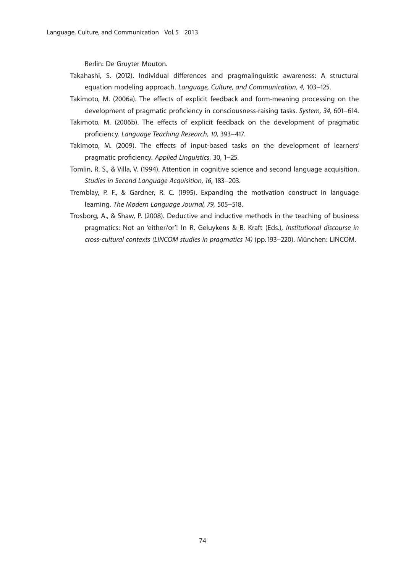Berlin: De Gruyter Mouton.

- Takahashi, S. (2012). Individual differences and pragmalinguistic awareness: A structural equation modeling approach. Language, Culture, and Communication, 4, 103−125.
- Takimoto, M. (2006a). The effects of explicit feedback and form-meaning processing on the development of pragmatic proficiency in consciousness-raising tasks. System, 34, 601–614.
- Takimoto, M. (2006b). The effects of explicit feedback on the development of pragmatic proficiency. Language Teaching Research, 10, 393-417.
- Takimoto, M. (2009). The effects of input-based tasks on the development of learners' pragmatic proficiency. Applied Linguistics, 30, 1-25.
- Tomlin, R. S., & Villa, V. (1994). Attention in cognitive science and second language acquisition. Studies in Second Language Acquisition, 16, 183−203.
- Tremblay, P. F., & Gardner, R. C. (1995). Expanding the motivation construct in language learning. The Modern Language Journal, 79, 505−518.
- Trosborg, A., & Shaw, P. (2008). Deductive and inductive methods in the teaching of business pragmatics: Not an 'either/or'! In R. Geluykens & B. Kraft (Eds.), Institutional discourse in cross-cultural contexts (LINCOM studies in pragmatics 14) (pp. 193−220). München: LINCOM.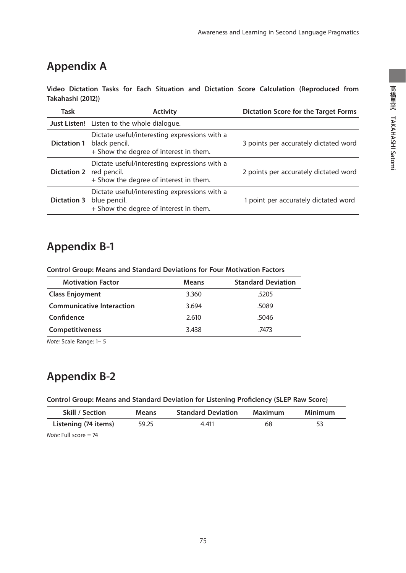# **Appendix A**

**Video Dictation Tasks for Each Situation and Dictation Score Calculation (Reproduced from Takahashi (2012))**

| Task               | <b>Activity</b>                                                                                          | <b>Dictation Score for the Target Forms</b> |
|--------------------|----------------------------------------------------------------------------------------------------------|---------------------------------------------|
|                    | <b>Just Listen!</b> Listen to the whole dialogue.                                                        |                                             |
| <b>Dictation 1</b> | Dictate useful/interesting expressions with a<br>black pencil.<br>+ Show the degree of interest in them. | 3 points per accurately dictated word       |
| <b>Dictation 2</b> | Dictate useful/interesting expressions with a<br>red pencil.<br>+ Show the degree of interest in them.   | 2 points per accurately dictated word       |
| <b>Dictation 3</b> | Dictate useful/interesting expressions with a<br>blue pencil.<br>+ Show the degree of interest in them.  | 1 point per accurately dictated word        |

# **Appendix B-1**

**Control Group: Means and Standard Deviations for Four Motivation Factors**

| <b>Motivation Factor</b>         | <b>Means</b> | <b>Standard Deviation</b> |
|----------------------------------|--------------|---------------------------|
| <b>Class Enjoyment</b>           | 3.360        | .5205                     |
| <b>Communicative Interaction</b> | 3.694        | .5089                     |
| Confidence                       | 2.610        | .5046                     |
| <b>Competitiveness</b>           | 3.438        | .7473                     |

Note: Scale Range: 1− 5

# **Appendix B-2**

**Control Group: Means and Standard Deviation for Listening Proficiency (SLEP Raw Score)** 

| <b>Skill / Section</b> | <b>Means</b> | <b>Standard Deviation</b> | Maximum | Minimum |
|------------------------|--------------|---------------------------|---------|---------|
| Listening (74 items)   | 59.25        | 4.411                     | 68      |         |

Note: Full score = 74